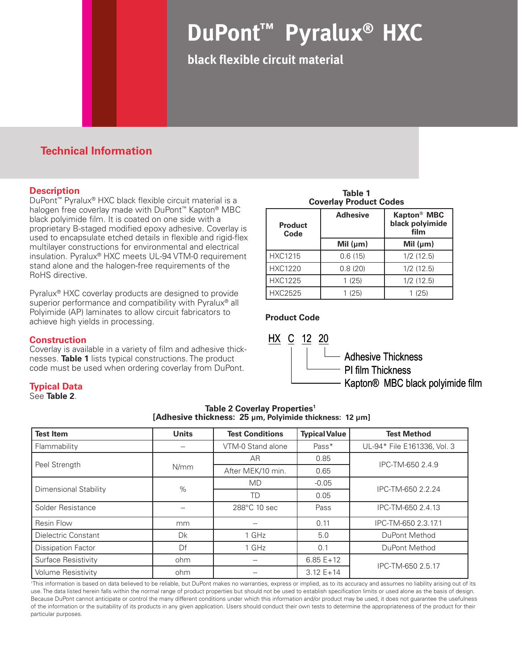# **DuPont™ Pyralux® HXC**

**black flexible circuit material**

# **Technical Information**

## **Description**

DuPont™ Pyralux® HXC black flexible circuit material is a halogen free coverlay made with DuPont<sup>™</sup> Kapton<sup>®</sup> MBC black polyimide film. It is coated on one side with a proprietary B-staged modified epoxy adhesive. Coverlay is used to encapsulate etched details in flexible and rigid-flex multilayer constructions for environmental and electrical insulation. Pyralux® HXC meets UL-94 VTM-0 requirement stand alone and the halogen-free requirements of the RoHS directive.

Pyralux® HXC coverlay products are designed to provide superior performance and compatibility with Pyralux<sup>®</sup> all Polyimide (AP) laminates to allow circuit fabricators to achieve high yields in processing.

## **Construction**

Coverlay is available in a variety of film and adhesive thicknesses. **Table 1** lists typical constructions. The product code must be used when ordering coverlay from DuPont.

## **Typical Data**

See **Table 2**.

| <b>Test Item</b>          | <b>Units</b> | <b>Test Conditions</b> | <b>Typical Value</b> | <b>Test Method</b>          |
|---------------------------|--------------|------------------------|----------------------|-----------------------------|
| Flammability              |              | VTM-0 Stand alone      | Pass*                | UL-94* File E161336, Vol. 3 |
| Peel Strength             |              | AR                     | 0.85                 | IPC-TM-650 2.4.9            |
|                           | N/mm         | After MEK/10 min.      | 0.65                 |                             |
| Dimensional Stability     | %            | <b>MD</b>              | $-0.05$              | IPC-TM-650 2.2.24           |
|                           |              | TD                     | 0.05                 |                             |
| Solder Resistance         |              | 288°C 10 sec           | Pass                 | IPC-TM-650 2.4.13           |
| Resin Flow                | mm           |                        | 0.11                 | IPC-TM-650 2.3.17.1         |
| Dielectric Constant       | <b>Dk</b>    | 1 GHz                  | 5.0                  | DuPont Method               |
| <b>Dissipation Factor</b> | Df           | 1 GHz                  | 0.1                  | DuPont Method               |
| Surface Resistivity       | ohm          |                        | $6.85 E+12$          | IPC-TM-650 2.5.17           |
| Volume Resistivity        | ohm          |                        | $3.12 E+14$          |                             |

**Table 2 Coverlay Properties<sup>1</sup> [Adhesive thickness: 25 µm, Polyimide thickness: 12 µm]**

<sup>1</sup>This information is based on data believed to be reliable, but DuPont makes no warranties, express or implied, as to its accuracy and assumes no liability arising out of its use. The data listed herein falls within the normal range of product properties but should not be used to establish specification limits or used alone as the basis of design. Because DuPont cannot anticipate or control the many different conditions under which this information and/or product may be used, it does not quarantee the usefulness of the information or the suitability of its products in any given application. Users should conduct their own tests to determine the appropriateness of the product for their particular purposes.

**Table 1 Coverlay Product Codes**

| <b>Product</b><br>Code | <b>Adhesive</b> | Kapton <sup>®</sup> MBC<br>black polyimide<br>film |
|------------------------|-----------------|----------------------------------------------------|
|                        | Mil $(\mu m)$   | Mil $(\mu m)$                                      |
| <b>HXC1215</b>         | 0.6(15)         | 1/2(12.5)                                          |
| <b>HXC1220</b>         | 0.8(20)         | 1/2(12.5)                                          |
| <b>HXC1225</b>         | 1 (25)          | 1/2(12.5)                                          |
| <b>HXC2525</b>         | (25)            | (25)                                               |

## **Product Code**



Adhesive Thickness PI film Thickness Kapton® MBC black polyimide film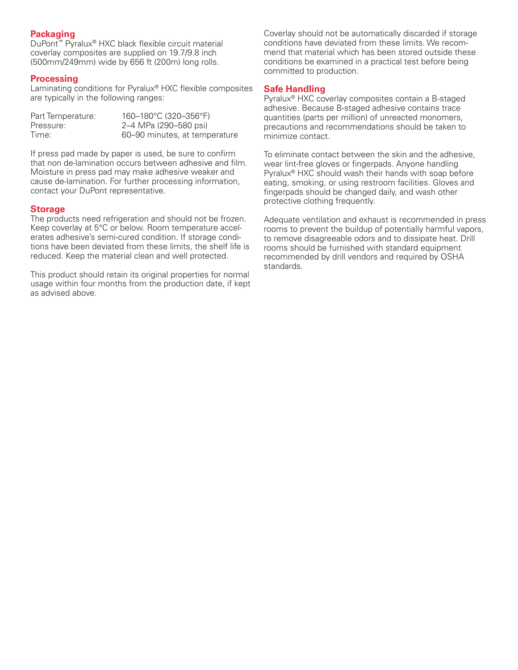## **Packaging**

DuPont™ Pyralux® HXC black flexible circuit material coverlay composites are supplied on 19.7/9.8 inch (500mm/249mm) wide by 656 ft (200m) long rolls.

## **Processing**

Laminating conditions for Pyralux® HXC flexible composites are typically in the following ranges:

| Part Temperature: | 160-180°C (320-356°F)         |
|-------------------|-------------------------------|
| Pressure:         | 2–4 MPa (290–580 psi)         |
| Time:             | 60–90 minutes, at temperature |

If press pad made by paper is used, be sure to confirm that non de-lamination occurs between adhesive and film. Moisture in press pad may make adhesive weaker and cause de-lamination. For further processing information, contact your DuPont representative.

#### **Storage**

The products need refrigeration and should not be frozen. Keep coverlay at 5°C or below. Room temperature accelerates adhesive's semi-cured condition. If storage conditions have been deviated from these limits, the shelf life is reduced. Keep the material clean and well protected.

This product should retain its original properties for normal usage within four months from the production date, if kept as advised above.

Coverlay should not be automatically discarded if storage conditions have deviated from these limits. We recommend that material which has been stored outside these conditions be examined in a practical test before being committed to production.

## **Safe Handling**

Pyralux® HXC coverlay composites contain a B-staged adhesive. Because B-staged adhesive contains trace quantities (parts per million) of unreacted monomers, precautions and recommendations should be taken to minimize contact.

To eliminate contact between the skin and the adhesive, wear lint-free gloves or fingerpads. Anyone handling Pyralux® HXC should wash their hands with soap before eating, smoking, or using restroom facilities. Gloves and fingerpads should be changed daily, and wash other protective clothing frequently.

Adequate ventilation and exhaust is recommended in press rooms to prevent the buildup of potentially harmful vapors, to remove disagreeable odors and to dissipate heat. Drill rooms should be furnished with standard equipment recommended by drill vendors and required by OSHA standards.